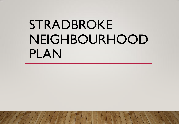# STRADBROKE NEIGHBOURHOOD PLAN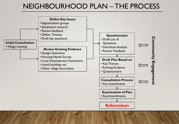### NEIGHBOURHOOD PLAN – THE PROCESS

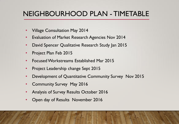### NEIGHBOURHOOD PLAN - TIMETABLE

- Village Consultation May 2014
- Evaluation of Market Research Agencies Nov 2014
- David Spencer Qualitative Research Study Jan 2015
- Project Plan Feb 2015
- Focused Workstreams Established Mar 2015
- Project Leadership change Sept 2015
- Development of Quantitative Community Survey Nov 2015
- Community Survey May 2016
- Analysis of Survey Results October 2016
- Open day of Results November 2016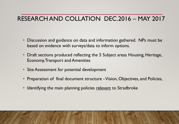### RESEARCH AND COLLATION DEC.2016 – MAY 2017

- Discussion and guidance on data and information gathered. NPs must be based on evidence with surveys/data to inform options.
- Draft sections produced reflecting the 5 Subject areas Housing, Heritage, Economy, Transport and Amenities
- Site Assessment for potential development
- Preparation of final document structure Vision, Objectives, and Policies,
- Identifying the main planning policies relevant to Stradbroke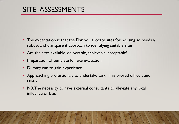# SITE ASSESSMENTS

- The expectation is that the Plan will allocate sites for housing so needs a robust and transparent approach to identifying suitable sites
- Are the sites available, deliverable, achievable, acceptable?
- Preparation of template for site evaluation
- Dummy run to gain experience
- Approaching professionals to undertake task. This proved difficult and costly
- NB. The necessity to have external consultants to alleviate any local influence or bias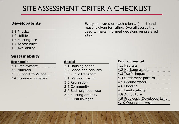# SITE ASSESSMENT CRITERIA CHECKLIST

#### **Developability**

- 1.1 Physical
- 1.2 Utilities
- 1.3 Existing use
- 1.4 Accessibility
- 1.5 Availability

#### **Sustainability**

#### **Economic**

- 2.1 Employment
- 2.2 Minerals
- 2.3 Support to Village
- 2.4 Economic initiative

#### **Social**

- 3.1 Housing needs
- 3.2 Shops and services
- 3.3 Public transport
- 3.4 Walking! cycling
- 3.5 Recreation
- 3.6 Community
- 3.7 Bad neighbour use
- 3.8 Existing amenity
- 3.9 Rural linkages

#### Every site rated on each criteria  $(1 - 4)$  and reasons given for rating. Overall scores then used to make informed decisions on prefered sites

#### **Environmental**

4.1 Habitats 4.2 Heritage assets 4.3 Traffic impact 4.4 Settlement pattern 4.5 Ground water 4.6 Flooding 4.7 Land stability 4.8 Agriculture 4.9 Previously Developed Land 4.10 Open countryside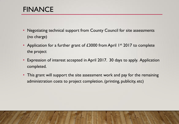# FINANCE

- Negotiating technical support from County Council for site assessments (no charge)
- Application for a further grant of £3000 from April 1<sup>st</sup> 2017 to complete the project
- Expression of interest accepted in April 2017. 30 days to apply. Application completed.
- This grant will support the site assessment work and pay for the remaining administration costs to project completion. (printing, publicity, etc)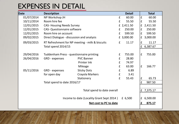### EXPENSES IN DETAIL

| <b>Date</b>                                            | <b>Description</b>                              |                    |                    | <b>Detail</b> |                    | <b>Total</b> |
|--------------------------------------------------------|-------------------------------------------------|--------------------|--------------------|---------------|--------------------|--------------|
| 01/07/2014                                             | NP Workshop JH                                  |                    | £                  | 60.00         | $\pmb{\mathsf{f}}$ | 60.00        |
| 10/11/2014                                             | Room hire fee                                   |                    | £                  | 55.50         | £                  | 55.50        |
| 12/01/2015                                             | <b>CAS-Housing Needs Survey</b>                 |                    |                    | £ 2,411.50    | £                  | 2,411.50     |
| 12/01/2015                                             | <b>CAS- Questionnaire software</b>              |                    | £                  | 250.00        | £                  | 250.00       |
| 12/01/2015                                             | Room hire on account                            |                    | £                  | 599.50        | £                  | 599.50       |
| 09/02/2015                                             | Direct Dialogue - discussion and analysis       |                    |                    | £ 3,000.00    | £                  | 3,000.00     |
| 09/03/2015                                             | RT Refreshment for NP meeting - milk & biscuits |                    | £                  | 11.17         | $\pmb{\mathsf{f}}$ | 11.17        |
|                                                        | Total spend 2014/15                             |                    |                    |               | £                  | 6,387.67     |
|                                                        |                                                 |                    |                    |               |                    |              |
| 29/04/2016                                             | Tuddenham Press - questionnaire printing        |                    | £                  | 755.00        | £                  | 755.00       |
| 26/04/2016                                             | GRD - expenses                                  | <b>PVC Banner</b>  | £                  | 28.80         |                    |              |
|                                                        |                                                 | Printer Ink        | £                  | 74.97         |                    |              |
|                                                        |                                                 | Mileage            | £                  | 63.00         | $\pmb{\mathsf{f}}$ | 166.77       |
| 05/11/2016                                             | GRD - expenses                                  | <b>Sticky Dots</b> | $\pmb{\mathsf{f}}$ | 6.89          |                    |              |
|                                                        | for open day                                    | Crayola Markers    | £                  | 3.41          |                    |              |
|                                                        |                                                 | Stationery         | £                  | 55.43         | £                  | 65.73        |
|                                                        | Total spend to date 2016/17                     |                    |                    |               | £                  | 987.50       |
|                                                        |                                                 |                    |                    |               |                    |              |
|                                                        | Total spend to date overall                     |                    |                    |               | £                  | 7,375.17     |
| Income to date (Locality Grant Sept 2014)<br>£ $6,500$ |                                                 |                    |                    |               |                    |              |
|                                                        |                                                 |                    |                    |               | £                  | 6,500.00     |
| Net cost to PC to date                                 |                                                 |                    |                    |               | £                  | 875.17       |
|                                                        |                                                 |                    |                    |               |                    |              |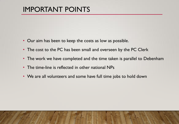# IMPORTANT POINTS

- Our aim has been to keep the costs as low as possible.
- The cost to the PC has been small and overseen by the PC Clerk
- The work we have completed and the time taken is parallel to Debenham
- The time-line is reflected in other national NPs
- We are all volunteers and some have full time jobs to hold down